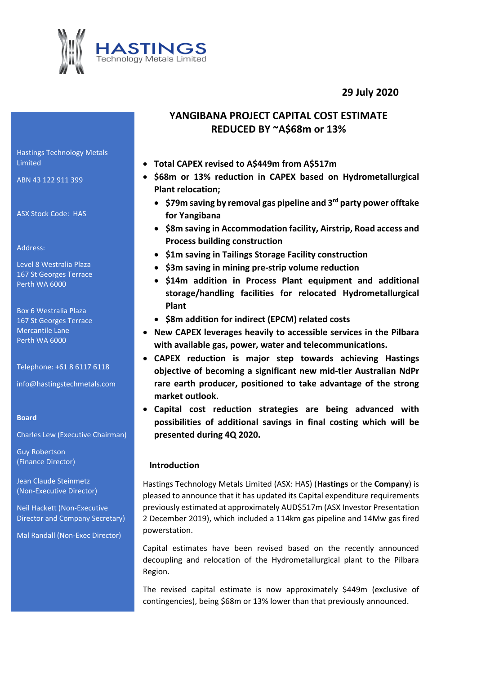**29 July 2020**



# **YANGIBANA PROJECT CAPITAL COST ESTIMATE REDUCED BY ~A\$68m or 13%**

- **Total CAPEX revised to A\$449m from A\$517m**
- **\$68m or 13% reduction in CAPEX based on Hydrometallurgical Plant relocation;**
	- **\$79m saving by removal gas pipeline and 3 rd party power offtake for Yangibana**
	- **\$8m saving in Accommodation facility, Airstrip, Road access and Process building construction**
	- **\$1m saving in Tailings Storage Facility construction**
	- **\$3m saving in mining pre-strip volume reduction**
	- **\$14m addition in Process Plant equipment and additional storage/handling facilities for relocated Hydrometallurgical Plant**
	- **\$8m addition for indirect (EPCM) related costs**
- **New CAPEX leverages heavily to accessible services in the Pilbara with available gas, power, water and telecommunications.**
- **CAPEX reduction is major step towards achieving Hastings objective of becoming a significant new mid-tier Australian NdPr rare earth producer, positioned to take advantage of the strong market outlook.**
- **Capital cost reduction strategies are being advanced with possibilities of additional savings in final costing which will be presented during 4Q 2020.**

## **Introduction**

Hastings Technology Metals Limited (ASX: HAS) (**Hastings** or the **Company**) is pleased to announce that it has updated its Capital expenditure requirements previously estimated at approximately AUD\$517m (ASX Investor Presentation 2 December 2019), which included a 114km gas pipeline and 14Mw gas fired powerstation.

Capital estimates have been revised based on the recently announced decoupling and relocation of the Hydrometallurgical plant to the Pilbara Region.

The revised capital estimate is now approximately \$449m (exclusive of contingencies), being \$68m or 13% lower than that previously announced.

Hastings Technology Metals Limited

ABN 43 122 911 399

ASX Stock Code: HAS

Address:

Level 8 Westralia Plaza 167 St Georges Terrace Perth WA 6000

Box 6 Westralia Plaza 167 St Georges Terrace Mercantile Lane Perth WA 6000

Telephone: +61 8 6117 6118

info@hastingstechmetals.com

## **Board**

Charles Lew (Executive Chairman)

Guy Robertson (Finance Director)

Jean Claude Steinmetz (Non-Executive Director)

Neil Hackett (Non-Executive Director and Company Secretary)

Mal Randall (Non-Exec Director)

www.hastingstechmetals.com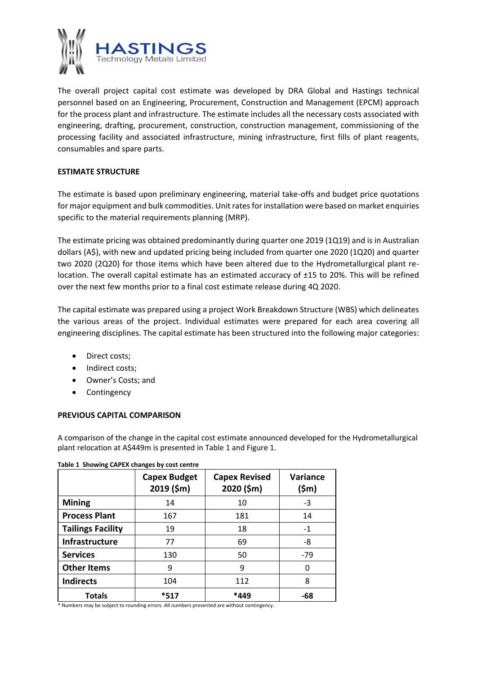

The overall project capital cost estimate was developed by DRA Global and Hastings technical personnel based on an Engineering, Procurement, Construction and Management (EPCM) approach for the process plant and infrastructure. The estimate includes all the necessary costs associated with engineering, drafting, procurement, construction, construction management, commissioning of the processing facility and associated infrastructure, mining infrastructure, first fills of plant reagents, consumables and spare parts.

## **ESTIMATE STRUCTURE**

The estimate is based upon preliminary engineering, material take-offs and budget price quotations for major equipment and bulk commodities. Unit rates for installation were based on market enquiries specific to the material requirements planning (MRP).

The estimate pricing was obtained predominantly during quarter one 2019 (1Q19) and is in Australian dollars (A\$), with new and updated pricing being included from quarter one 2020 (1Q20) and quarter two 2020 (2Q20) for those items which have been altered due to the Hydrometallurgical plant relocation. The overall capital estimate has an estimated accuracy of ±15 to 20%. This will be refined over the next few months prior to a final cost estimate release during 4Q 2020.

The capital estimate was prepared using a project Work Breakdown Structure (WBS) which delineates the various areas of the project. Individual estimates were prepared for each area covering all engineering disciplines. The capital estimate has been structured into the following major categories:

- Direct costs;
- Indirect costs;
- Owner's Costs; and
- Contingency

## **PREVIOUS CAPITAL COMPARISON**

A comparison of the change in the capital cost estimate announced developed for the Hydrometallurgical plant relocation at A\$449m is presented in Table 1 and Figure 1.

|                          | <b>Capex Budget</b><br>2019 (\$m) | <b>Capex Revised</b><br>2020 (\$m) | Variance<br>(\$m) |
|--------------------------|-----------------------------------|------------------------------------|-------------------|
| <b>Mining</b>            | 14                                | 10                                 | -3                |
| <b>Process Plant</b>     | 167                               | 181                                | 14                |
| <b>Tailings Facility</b> | 19                                | 18                                 | $-1$              |
| Infrastructure           | 77                                | 69                                 | -8                |
| <b>Services</b>          | 130                               | 50                                 | $-79$             |
| <b>Other Items</b>       | 9                                 | 9                                  |                   |
| <b>Indirects</b>         | 104                               | 112                                | 8                 |
| <b>Totals</b>            | *517                              | $*449$                             | -68               |

#### **Table 1 Showing CAPEX changes by cost centre**

\* Numbers may be subject to rounding errors. All numbers presented are without contingency.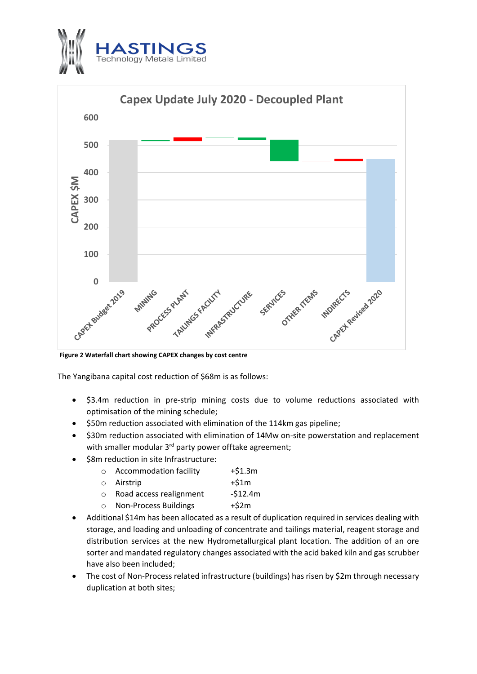



**Figure 2 Waterfall chart showing CAPEX changes by cost centre**

The Yangibana capital cost reduction of \$68m is as follows:

- \$3.4m reduction in pre-strip mining costs due to volume reductions associated with optimisation of the mining schedule;
- \$50m reduction associated with elimination of the 114km gas pipeline;
- \$30m reduction associated with elimination of 14Mw on-site powerstation and replacement with smaller modular 3<sup>rd</sup> party power offtake agreement;
- \$8m reduction in site Infrastructure:

| $\circ$ | <b>Accommodation facility</b>   | $+ $1.3m$ |
|---------|---------------------------------|-----------|
|         | ○ Airstrip                      | $+51m$    |
|         | $\circ$ Road access realignment | $-512.4m$ |
| $\circ$ | <b>Non-Process Buildings</b>    | $+52m$    |

- Additional \$14m has been allocated as a result of duplication required in services dealing with storage, and loading and unloading of concentrate and tailings material, reagent storage and distribution services at the new Hydrometallurgical plant location. The addition of an ore sorter and mandated regulatory changes associated with the acid baked kiln and gas scrubber have also been included;
- The cost of Non-Process related infrastructure (buildings) has risen by \$2m through necessary duplication at both sites;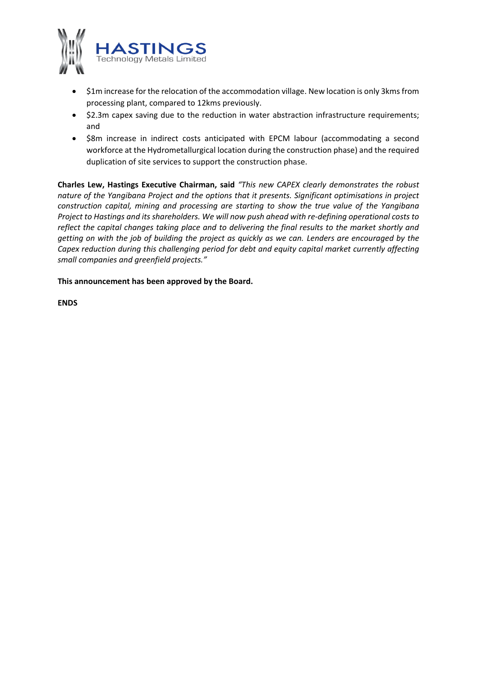

- \$1m increase for the relocation of the accommodation village. New location is only 3kms from processing plant, compared to 12kms previously.
- \$2.3m capex saving due to the reduction in water abstraction infrastructure requirements; and
- \$8m increase in indirect costs anticipated with EPCM labour (accommodating a second workforce at the Hydrometallurgical location during the construction phase) and the required duplication of site services to support the construction phase.

**Charles Lew, Hastings Executive Chairman, said** *"This new CAPEX clearly demonstrates the robust nature of the Yangibana Project and the options that it presents. Significant optimisations in project construction capital, mining and processing are starting to show the true value of the Yangibana Project to Hastings and its shareholders. We will now push ahead with re-defining operational costs to reflect the capital changes taking place and to delivering the final results to the market shortly and getting on with the job of building the project as quickly as we can. Lenders are encouraged by the Capex reduction during this challenging period for debt and equity capital market currently affecting small companies and greenfield projects."*

**This announcement has been approved by the Board.**

**ENDS**